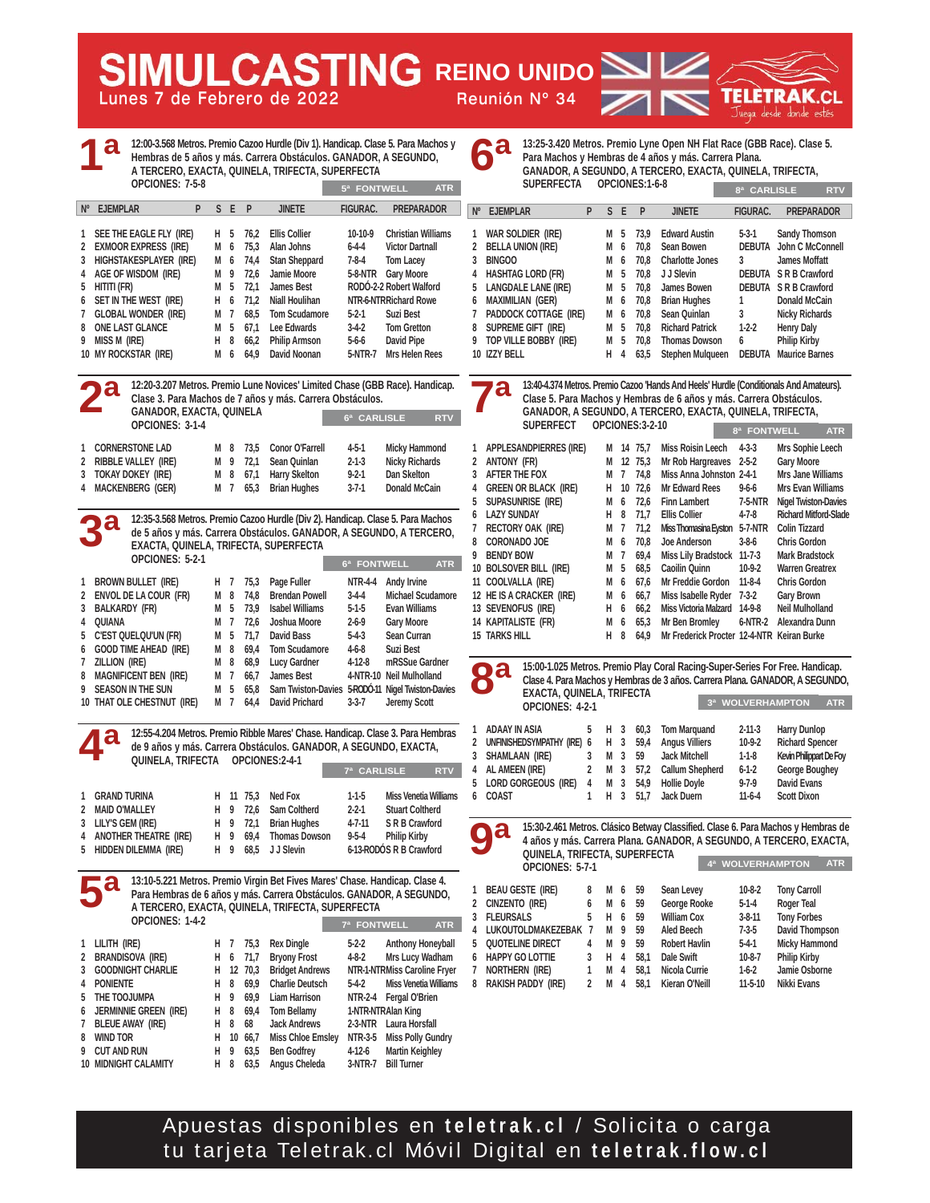**Lunes 7 de Febrero de 2022 Reunión Nº 34**

**WULCASTING REINO UNIDO** 

| <b>4a</b>               |                                              |      |  |  |  | 12:00-3.568 Metros. Premio Cazoo Hurdle (Div 1). Handicap. Clase 5. Para Machos y<br>Hembras de 5 años y más. Carrera Obstáculos. GANADOR, A SEGUNDO,<br>A TERCERO. EXACTA, QUINELA, TRIFECTA, SUPERFECTA |  |                 |                   |  |  |  |  |
|-------------------------|----------------------------------------------|------|--|--|--|-----------------------------------------------------------------------------------------------------------------------------------------------------------------------------------------------------------|--|-----------------|-------------------|--|--|--|--|
|                         | OPCIONES: 7-5-8<br><b>ATR</b><br>5ª FONTWELL |      |  |  |  |                                                                                                                                                                                                           |  |                 |                   |  |  |  |  |
| $N^{\circ}$ F. JFMPI AR |                                              | PSFP |  |  |  | <b>JINFTF</b>                                                                                                                                                                                             |  | <b>FIGURAC.</b> | <b>PREPARADOR</b> |  |  |  |  |

| $\mathbf{1}$ | SEE THE EAGLE FLY (IRE) | H 5 |    | 76.2     | <b>Ellis Collier</b>  | 10-10-9     | <b>Christian Williams</b> |
|--------------|-------------------------|-----|----|----------|-----------------------|-------------|---------------------------|
|              | 2 EXMOOR EXPRESS (IRE)  | М   | 6  | 75.3     | Alan Johns            | $6 - 4 - 4$ | <b>Victor Dartnall</b>    |
| $\mathbf{3}$ | HIGHSTAKESPLAYER (IRE)  |     |    | M 6 74,4 | <b>Stan Sheppard</b>  | $7 - 8 - 4$ | <b>Tom Lacey</b>          |
|              | 4 AGE OF WISDOM (IRE)   |     |    | M 9 72.6 | Jamie Moore           | 5-8-NTR     | <b>Gary Moore</b>         |
|              | 5 HITITI (FR)           | M 5 |    | 72.1     | <b>James Best</b>     |             | RODÓ-2-2 Robert Walford   |
|              | 6 SET IN THE WEST (IRE) | н.  |    | $6$ 71.2 | <b>Niall Houlihan</b> |             | NTR-6-NTRRichard Rowe     |
|              | 7 GLOBAL WONDER (IRE)   | M 7 |    | 68.5     | <b>Tom Scudamore</b>  | $5-2-1$     | <b>Suzi Best</b>          |
|              | 8 ONE LAST GLANCE       | M 5 |    | 67.1     | Lee Edwards           | $3-4-2$     | <b>Tom Gretton</b>        |
| 9            | MISS M (IRE)            | н   | -8 | 66.2     | <b>Philip Armson</b>  | 5-6-6       | David Pipe                |
|              | 10 MY ROCKSTAR (IRE)    | М   | 6  | 64.9     | David Noonan          | 5-NTR-7     | <b>Mrs Helen Rees</b>     |
|              |                         |     |    |          |                       |             |                           |

**12:20-3.207 Metros. Premio Lune Novices' Limited Chase (GBB Race). Handicap. Clase 3. Para Machos de 7 años y más. Carrera Obstáculos. GANADOR, EXACTA, QUINELA OPCIONES: 3-1-4 1 CORNERSTONE LAD M 8 73,5 Conor O'Farrell 4-5-1 Micky Hammond 6ª CARLISLE RTV 2ª**

| 2 RIBBLE VALLEY (IRE)<br>3 TOKAY DOKEY (IRE) |  | M 9 72.1 Sean Quinlan<br>M 8 67,1 Harry Skelton | $2 - 1 - 3$<br>$9 - 2 - 1$ | Nicky Richards<br>Dan Skelton |
|----------------------------------------------|--|-------------------------------------------------|----------------------------|-------------------------------|
| 4 MACKENBERG (GER)                           |  | M 7 65,3 Brian Hughes                           | $3 - 7 - 1$                | <b>Donald McCain</b>          |

**12:35-3.568 Metros. Premio Cazoo Hurdle (Div 2). Handicap. Clase 5. Para Machos de 5 años y más. Carrera Obstáculos. GANADOR, A SEGUNDO, A TERCERO, EXACTA, QUINELA, TRIFECTA, SUPERFECTA OPCIONES: 5-2-1 1 BROWN BULLET (IRE) H 7 75,3 Page Fuller NTR-4-4 Andy Irvine 2 ENVOL DE LA COUR (FR) M 8 74,8 Brendan Powell 3-4-4 Michael Scudamore 3 BALKARDY (FR) M 5 73,9 Isabel Williams 5-1-5 Evan Williams 4 QUIANA M 7 72,6 Joshua Moore 2-6-9 Gary Moore 5 C'EST QUELQU'UN (FR) M 5 71,7 David Bass 5-4-3 Sean Curran 6 GOOD TIME AHEAD (IRE) M 8 69,4 Tom Scudamore 4-6-8 Suzi Best 7 ZILLION (IRE) M 8 68,9 Lucy Gardner 4-12-8 mRSSue Gardner 8 MAGNIFICENT BEN (IRE) M 7 66,7 James Best 4-NTR-10 Neil Mulholland 6ª FONTWELL 3ª**

**9 SEASON IN THE SUN M 5 65,8 Sam Twiston-Davies 5-RODÓ-11 Nigel Twiston-Davies 10 THAT OLE CHESTNUT (IRE) M 7 64,4 David Prichard 3-3-7 Jeremy Scott 4ª**

**12:55-4.204 Metros. Premio Ribble Mares' Chase. Handicap. Clase 3. Para Hembras de 9 años y más. Carrera Obstáculos. GANADOR, A SEGUNDO, EXACTA, QUINELA, TRIFECTA OPCIONES:2-4-1 7ª CARLISLE RTV**

| 1 GRAND TURINA          |  | H 11 75.3 Ned Fox      | $1-1-5$     | Miss Venetia Williams   |
|-------------------------|--|------------------------|-------------|-------------------------|
| 2 MAID O'MALLEY         |  | H 9 72.6 Sam Coltherd  | $2 - 2 - 1$ | <b>Stuart Coltherd</b>  |
| 3 LILY'S GEM (IRE)      |  | H 9 72,1 Brian Hughes  | 4-7-11      | S R B Crawford          |
| 4 ANOTHER THEATRE (IRE) |  | H 9 69.4 Thomas Dowson | 9-5-4       | <b>Philip Kirby</b>     |
| 5 HIDDEN DILEMMA (IRE)  |  | H 9 68,5 JJ Slevin     |             | 6-13-RODÓS R B Crawford |

**13:10-5.221 Metros. Premio Virgin Bet Fives Mares' Chase. Handicap. Clase 4. Para Hembras de 6 años y más. Carrera Obstáculos. GANADOR, A SEGUNDO, A TERCERO, EXACTA, QUINELA, TRIFECTA, SUPERFECTA OPCIONES: 1-4-2 1 LILITH (IRE) H 7 75,3 Rex Dingle 5-2-2 Anthony Honeyball 2 BRANDISOVA (IRE) H 6 71,7 Bryony Frost 4-8-2 Mrs Lucy Wadham 3 GOODNIGHT CHARLIE H 12 70,3 Bridget Andrews NTR-1-NTRMiss Caroline Fryer 4 PONIENTE H 8 69,9 Charlie Deutsch 5-4-2 Miss Venetia Williams 5 THE TOOJUMPA H 9 69,9 Liam Harrison NTR-2-4 Fergal O'Brien 6 JERMINNIE GREEN (IRE) H 8 69,4 Tom Bellamy 1-NTR-NTRAlan King 7 BLEUE AWAY (IRE) H 8 68 Jack Andrews 2-3-NTR Laura Horsfall**  8 WIND TOR **H 10 66,7 Miss Chloe Emsley NTR-3-5 Miss Polly Gundry 9 CUT AND RUN H 9 63,5 Ben Godfrey 4-12-6 Martin Keighley 10 MIDNIGHT CALAMITY H 8 63,5 Angus Cheleda 3-NTR-7 Bill Turner 7ª FONTWELL ATR 5ª**

**13:25-3.420 Metros. Premio Lyne Open NH Flat Race (GBB Race). Clase 5. Para Machos y Hembras de 4 años y más. Carrera Plana. GANADOR, A SEGUNDO, A TERCERO, EXACTA, QUINELA, TRIFECTA, SUPERFECTA OPCIONES:1-6-8 6ª**

|           | JUILINI LUIN             |   |   |   | u viuillu. Pu |                        | 8ª CARLISLE     | <b>RTV</b>                     |
|-----------|--------------------------|---|---|---|---------------|------------------------|-----------------|--------------------------------|
| <b>N°</b> | <b>EJEMPLAR</b>          | P | S | E | P             | <b>JINETE</b>          | <b>FIGURAC.</b> | <b>PREPARADOR</b>              |
| 1         | WAR SOLDIER (IRE)        |   | м | 5 | 73.9          | <b>Edward Austin</b>   | $5-3-1$         | <b>Sandy Thomson</b>           |
| 2         | <b>BELLA UNION (IRE)</b> |   | М | 6 | 70.8          | Sean Bowen             |                 | <b>DEBUTA</b> John C McConnell |
| 3         | <b>BINGOO</b>            |   | М | 6 | 70.8          | <b>Charlotte Jones</b> | 3               | <b>James Moffatt</b>           |
|           | 4 HASHTAG LORD (FR)      |   | м | 5 | 70.8          | J J Slevin             |                 | DEBUTA SR B Crawford           |
|           | 5 LANGDALE LANE (IRE)    |   | М | 5 | 70.8          | James Bowen            |                 | DEBUTA SRB Crawford            |
| 6         | <b>MAXIMILIAN (GER)</b>  |   | M | 6 | 70.8          | <b>Brian Hughes</b>    |                 | <b>Donald McCain</b>           |
| 7         | PADDOCK COTTAGE (IRE)    |   | M | 6 | 70.8          | Sean Quinlan           | 3               | <b>Nicky Richards</b>          |
|           | 8 SUPREME GIFT (IRE)     |   | М | 5 | 70.8          | <b>Richard Patrick</b> | $1-2-2$         | <b>Henry Daly</b>              |
|           | 9 TOP VILLE BOBBY (IRE)  |   | М | 5 | 70.8          | <b>Thomas Dowson</b>   | 6               | <b>Philip Kirby</b>            |
|           | 10 IZZY BELL             |   | н | 4 | 63.5          | Stephen Mulaueen       | <b>DEBUTA</b>   | <b>Maurice Barnes</b>          |

**13:40-4.374 Metros. Premio Cazoo 'Hands And Heels' Hurdle (Conditionals And Amateurs). Clase 5. Para Machos y Hembras de 6 años y más. Carrera Obstáculos. GANADOR, A SEGUNDO, A TERCERO, EXACTA, QUINELA, TRIFECTA, SUPERFECT OPCIONES:3-2-10 8ª FONTWELL ATR 7ª**

| 1  | <b>APPLESANDPIERRES (IRE)</b> | м |                 | 14 75.7 | <b>Miss Roisin Leech</b>                   | $4 - 3 - 3$  | Mrs Sophie Leech             |
|----|-------------------------------|---|-----------------|---------|--------------------------------------------|--------------|------------------------------|
| 2  | ANTONY (FR)                   | М | 12              | 75.3    | Mr Rob Hargreaves                          | $2 - 5 - 2$  | <b>Gary Moore</b>            |
| 3  | <b>AFTER THE FOX</b>          | м | 7               | 74.8    | Miss Anna Johnston 2-4-1                   |              | Mrs Jane Williams            |
| 4  | <b>GREEN OR BLACK (IRE)</b>   | н | 10 <sup>°</sup> | 72.6    | Mr Edward Rees                             | $9 - 6 - 6$  | <b>Mrs Evan Williams</b>     |
| 5  | SUPASUNRISE (IRE)             | м | 6               | 72.6    | <b>Finn Lambert</b>                        | 7-5-NTR      | <b>Nigel Twiston-Davies</b>  |
| 6  | <b>LAZY SUNDAY</b>            | н | 8               | 71.7    | <b>Ellis Collier</b>                       | $4 - 7 - 8$  | <b>Richard Mitford-Slade</b> |
| 7  | <b>RECTORY OAK (IRE)</b>      | м | 7               | 71.2    | Miss Thomasina Eyston                      | 5-7-NTR      | <b>Colin Tizzard</b>         |
| 8  | <b>CORONADO JOE</b>           | м | 6               | 70.8    | Joe Anderson                               | $3 - 8 - 6$  | <b>Chris Gordon</b>          |
| g. | <b>BENDY BOW</b>              | м | 7               | 69.4    | <b>Miss Lily Bradstock</b>                 | $11 - 7 - 3$ | <b>Mark Bradstock</b>        |
|    | 10 BOLSOVER BILL (IRE)        | м | 5               | 68.5    | <b>Caoilin Quinn</b>                       | $10-9-2$     | <b>Warren Greatrex</b>       |
|    | 11 COOLVALLA (IRE)            | м | 6               | 67.6    | Mr Freddie Gordon                          | $11 - 8 - 4$ | <b>Chris Gordon</b>          |
|    | 12 HE IS A CRACKER (IRE)      | м | 6               | 66,7    | Miss Isabelle Ryder                        | $7-3-2$      | <b>Gary Brown</b>            |
|    | 13 SEVENOFUS (IRE)            | н | 6               | 66.2    | Miss Victoria Malzard                      | 14-9-8       | <b>Neil Mulholland</b>       |
|    | 14 KAPITALISTE (FR)           | М | 6               | 65,3    | Mr Ben Bromley                             | $6-NTR-2$    | Alexandra Dunn               |
|    | <b>15 TARKS HILL</b>          | н | 8               | 64.9    | Mr Frederick Procter 12-4-NTR Keiran Burke |              |                              |
|    |                               |   |                 |         |                                            |              |                              |

**15:00-1.025 Metros. Premio Play Coral Racing-Super-Series For Free. Handicap. Clase 4. Para Machos y Hembras de 3 años. Carrera Plana. GANADOR, A SEGUNDO, EXACTA, QUINELA, TRIFECTA 3ª WOLVERHAMPTON ATR 8ª**

| OPCIONES: 4-2-1                               |  |          |                            |              | 3" WULVERHAMPIUN AIR    |
|-----------------------------------------------|--|----------|----------------------------|--------------|-------------------------|
|                                               |  |          |                            |              |                         |
| 1 ADAAY IN ASIA                               |  |          | 5 H 3 60,3 Tom Marquand    | $2 - 11 - 3$ | <b>Harry Dunlop</b>     |
| 2 Unfinishedsympathy (IRE) 6 H 3 59.4         |  |          | <b>Angus Villiers</b>      | $10-9-2$     | <b>Richard Spencer</b>  |
| 3 SHAMLAAN (IRE)                              |  | 3 M 3 59 | Jack Mitchell              | $1-1-8$      | Kevin Philippart De Foy |
| 4 AL AMEEN (IRE)                              |  |          | 2 M 3 57,2 Callum Shepherd | $6 - 1 - 2$  | George Boughey          |
| 5 LORD GORGEOUS (IRE) 4 M 3 54,9 Hollie Doyle |  |          |                            | $9 - 7 - 9$  | David Evans             |
| 6 COAST                                       |  |          | 1 H 3 51.7 Jack Duern      | $11-6-4$     | <b>Scott Dixon</b>      |
|                                               |  |          |                            |              |                         |



**15:30-2.461 Metros. Clásico Betway Classified. Clase 6. Para Machos y Hembras de 4 años y más. Carrera Plana. GANADOR, A SEGUNDO, A TERCERO, EXACTA, QUINELA, TRIFECTA, SUPERFECTA**

|  |  | <sup>a</sup> WOLVERHAMPTON |  |
|--|--|----------------------------|--|
|--|--|----------------------------|--|

| 1 | <b>BEAU GESTE (IRE)</b> | 8 | M 6 |            | 59   | Sean Levey           | $10-8-2$     | <b>Tony Carroll</b>  |
|---|-------------------------|---|-----|------------|------|----------------------|--------------|----------------------|
|   | 2 CINZENTO (IRE)        | 6 | M 6 |            | 59   | George Rooke         | $5-1-4$      | <b>Roger Teal</b>    |
|   | 3 FLEURSALS             | 5 | н   | $\sqrt{2}$ | 59   | <b>William Cox</b>   | $3 - 8 - 11$ | <b>Tony Forbes</b>   |
|   | 4 LUKOUTOLDMAKEZEBAK    |   | M   | 9          | 59   | Aled Beech           | $7-3-5$      | David Thompson       |
|   | 5 QUOTELINE DIRECT      | 4 | M 9 |            | 59   | <b>Robert Havlin</b> | $5-4-1$      | <b>Micky Hammond</b> |
|   | 6 HAPPY GO LOTTIE       | 3 | н   | 4          | 58.1 | Dale Swift           | $10-8-7$     | <b>Philip Kirby</b>  |
| 7 | Northern (IRE)          | 1 | м   | 4          | 58.1 | Nicola Currie        | $1-6-2$      | Jamie Osborne        |
|   | 8 RAKISH PADDY (IRE)    | 2 | М   | 4          | 58.1 | Kieran O'Neill       | $11-5-10$    | Nikki Evans          |
|   |                         |   |     |            |      |                      |              |                      |

Apuestas disponibles en **teletrak.cl** / Solicita o carga tu tarjeta Teletrak.cl Móvil Digital en **teletrak.flow.cl**